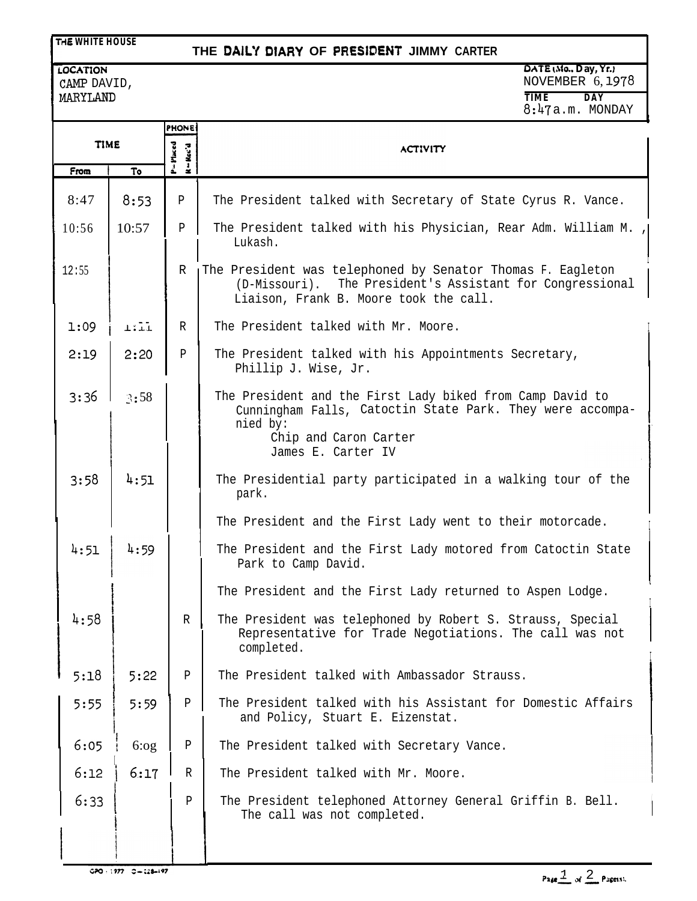### **ri6 WHITE HOUSE**

## **THE DAIL'I DIARY OF** PRESlDEhlT **JIMMY CARTER**

#### **LOCATION** CAMP DAVID, 4ARYLAND

**DATE No.. Day, Yr.r** NOVEMBER 6, 1978 **TIME DAY** 8:47 a.m. MONDAY

|             |        | <b>PHONE</b>          |                                                                                                                                                                                   |
|-------------|--------|-----------------------|-----------------------------------------------------------------------------------------------------------------------------------------------------------------------------------|
| <b>TIME</b> |        | Placed<br>$R = Rec'd$ | <b>ACTIVITY</b>                                                                                                                                                                   |
| From        | To     | ī                     |                                                                                                                                                                                   |
| 8:47        | 8:53   | P                     | The President talked with Secretary of State Cyrus R. Vance.                                                                                                                      |
| 10:56       | 10:57  | P                     | The President talked with his Physician, Rear Adm. William M.<br>Lukash.                                                                                                          |
| 12:55       |        | R                     | The President was telephoned by Senator Thomas F. Eagleton<br>The President's Assistant for Congressional<br>(D-Missouri).<br>Liaison, Frank B. Moore took the call.              |
| 1:09        | $1:11$ | R                     | The President talked with Mr. Moore.                                                                                                                                              |
| 2:19        | 2:20   | P                     | The President talked with his Appointments Secretary,<br>Phillip J. Wise, Jr.                                                                                                     |
| 3:36        | 3:58   |                       | The President and the First Lady biked from Camp David to<br>Cunningham Falls, Catoctin State Park. They were accompa-<br>nied by:<br>Chip and Caron Carter<br>James E. Carter IV |
| 3:58        | 4:51   |                       | The Presidential party participated in a walking tour of the                                                                                                                      |
|             |        |                       | park.                                                                                                                                                                             |
|             |        |                       | The President and the First Lady went to their motorcade.                                                                                                                         |
| 4:51        | 4:59   |                       | The President and the First Lady motored from Catoctin State<br>Park to Camp David.                                                                                               |
|             |        |                       | The President and the First Lady returned to Aspen Lodge.                                                                                                                         |
| 4:58        |        | R                     | The President was telephoned by Robert S. Strauss, Special<br>Representative for Trade Negotiations. The call was not<br>completed.                                               |
| 5:18        | 5:22   | $\, {\bf P}$          | The President talked with Ambassador Strauss.                                                                                                                                     |
| 5:55        | 5:59   | ${\tt P}$             | The President talked with his Assistant for Domestic Affairs<br>and Policy, Stuart E. Eizenstat.                                                                                  |
| 6:05        | 6:og   | $\, {\bf P}$          | The President talked with Secretary Vance.                                                                                                                                        |
| 6:12        | 6:17   | $\mathbb{R}$          | The President talked with Mr. Moore.                                                                                                                                              |
| 6:33        |        | Ρ                     | The President telephoned Attorney General Griffin B. Bell.<br>The call was not completed.                                                                                         |

- 1